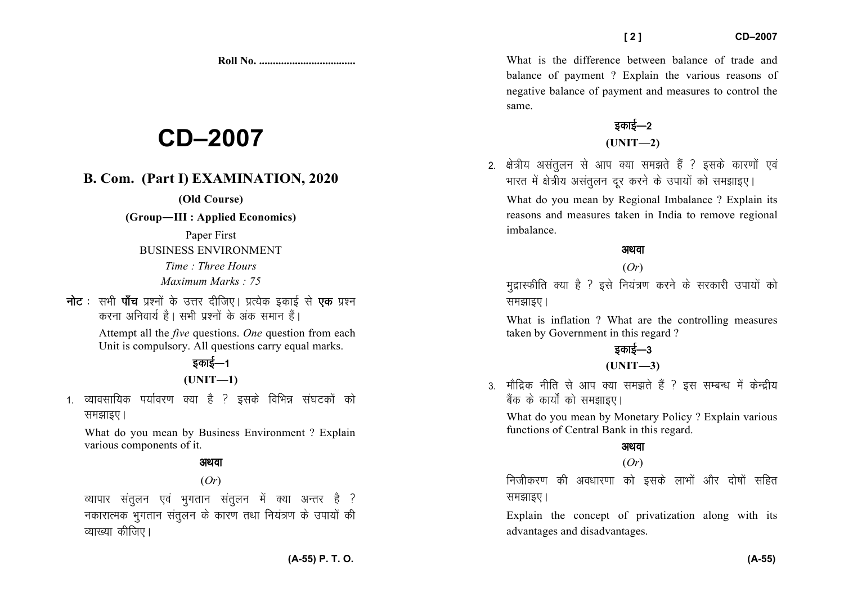**Roll No. ...................................** 

# **CD–2007**

## **B. Com. (Part I) EXAMINATION, 2020**

#### **(Old Course)**

#### **(Group—III : Applied Economics)**

Paper First BUSINESS ENVIRONMENT *Time : Three Hours Maximum Marks : 75*

**नोट** : सभी **पाँच** प्रश्नों के उत्तर दीजिए। प्रत्येक इकाई से **एक** प्रश्न करना अनिवार्य है। सभी प्रश्नों के अंक समान हैं।

> Attempt all the *five* questions. *One* question from each Unit is compulsory. All questions carry equal marks.

## डकाई—1 **(UNIT—1)**

1. व्यावसायिक पर्यावरण क्या है ? इसके विभिन्न संघटकों को समझाइए।

What do you mean by Business Environment ? Explain various components of it.

#### अथवा

(*Or*)

व्यापार संतलन एवं भगतान संतुलन में क्या अन्तर है ? नकारात्मक भुगतान संतुलन के कारण तथा नियंत्रण के उपायों की व्याख्या कीजिए।

What is the difference between balance of trade and balance of payment ? Explain the various reasons ofnegative balance of payment and measures to control the same.

### इकाई—2 **(UNIT—2)**

2. क्षेत्रीय असंतुलन से आप क्या समझते हैं ? इसके कारणों एवं भारत में क्षेत्रीय असंतुलन दूर करने के उपायों को समझाइए।

What do you mean by Regional Imbalance ? Explain its reasons and measures taken in India to remove regional imbalance.

#### अथवा

#### (*Or*)

मुद्रास्फीति क्या है ? इसे नियंत्रण करने के सरकारी उपायों को समझाइए।

What is inflation ? What are the controlling measures taken by Government in this regard ?

## डकाई—3

#### **(UNIT—3)**

3. मौद्रिक नीति से आप क्या समझते हैं ? इस सम्बन्ध में केन्द्रीय बैंक के कार्यों को समझाइए।

What do you mean by Monetary Policy ? Explain various functions of Central Bank in this regard.

#### अथवा

(*Or*)

निजीकरण की अवधारणा को इसके लाभों और दोषों सहित समझाइए।

Explain the concept of privatization along with itsadvantages and disadvantages.